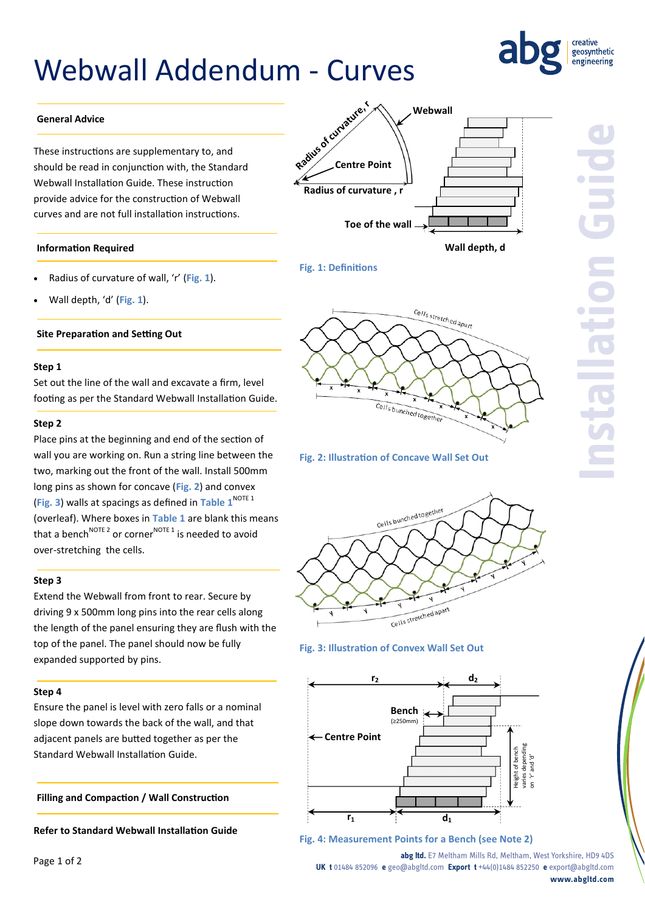# Webwall Addendum - Curves



#### **General Advice**

These instructions are supplementary to, and should be read in conjunction with, the Standard Webwall Installation Guide. These instruction provide advice for the construction of Webwall curves and are not full installation instructions.

#### **Information Required**

- Radius of curvature of wall, 'r' (**Fig. 1**).
- Wall depth, 'd' (**Fig. 1**).

#### **Site Preparation and Setting Out**

#### **Step 1**

Set out the line of the wall and excavate a firm, level footing as per the Standard Webwall Installation Guide.

#### **Step 2**

Place pins at the beginning and end of the section of wall you are working on. Run a string line between the two, marking out the front of the wall. Install 500mm long pins as shown for concave (**Fig. 2**) and convex (**Fig. 3**) walls at spacings as defined in **Table 1**NOTE 1 (overleaf). Where boxes in **Table 1** are blank this means that a bench<sup>NOTE 2</sup> or corner<sup>NOTE 1</sup> is needed to avoid over-stretching the cells.

#### **Step 3**

Extend the Webwall from front to rear. Secure by driving 9 x 500mm long pins into the rear cells along the length of the panel ensuring they are flush with the top of the panel. The panel should now be fully expanded supported by pins.

#### **Step 4**

Ensure the panel is level with zero falls or a nominal slope down towards the back of the wall, and that adjacent panels are butted together as per the Standard Webwall Installation Guide.

**Filling and Compaction / Wall Construction**

**Refer to Standard Webwall Installation Guide**



# **Fig. 1: Definitions**



**Fig. 2: Illustration of Concave Wall Set Out**



#### **Fig. 3: Illustration of Convex Wall Set Out**



**Fig. 4: Measurement Points for a Bench (see Note 2)**

**abg ltd.** E7 Meltham Mills Rd, Meltham, West Yorkshire, HD9 4DS **UK t** 01484 852096 **e** geo@abgltd.com **Export t** +44(0)1484 852250 **e** export@abgltd.com **www.abgltd.com**